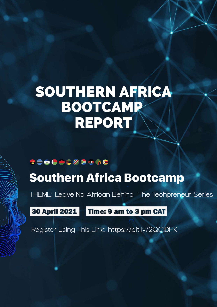# SOUTHERN AFRICA BOOTCAMP REPORT

### 300000%<del>200</del>0

## **Southern Africa Bootcamp**

THEME: Leave No African Behind The Techpreneur Series

30 April 2021

Time: 9 am to 3 pm CAT

Register Using This Link: https://bit.ly/2QQjDPK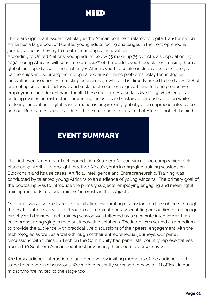### NEED

There are significant issues that plague the African continent related to digital transformation. Africa has a large pool of talented young adults facing challenges in their entrepreneurial journeys, and as they try to create technological innovation.

According to United Nations, young adults below 35 make up 75% of Africa's population. By 2030, Young Africans will constitute up to 42% of the world's youth population, making them a global, untapped asset. The challenges Africa's youth face also include a lack of strategic partnerships and sourcing technological expertise. These problems delay technological innovation, consequently impacting economic growth, and is directly linked to the UN SDG 8 of promoting sustained, inclusive, and sustainable economic growth and full and productive employment, and decent work for all. These challenges also fail UN SDG 9 which entails building resilient infrastructure, promoting inclusive and sustainable industrialization while fostering innovation. Digital transformation is progressing globally at an unprecedented pace and our Bootcamps seek to address these challenges to ensure that Africa is not left behind.

### EVENT SUMMARY

The first ever Pan African Tech Foundation Southern African virtual bootcamp which took place on 30 April 2021 brought together Africa's youth in engaging training sessions on Blockchain and its use cases, Artificial Intelligence and Entrepreneurship. Training was conducted by talented young Africans to an audience of young Africans. The primary goal of the bootcamp was to introduce the primary subjects, employing engaging and meaningful training methods to pique trainees' interests in the subjects.

Our focus was also on strategically initiating invigorating discussions on the subjects through the chats platform as well as through our 10 minute breaks enabling our audience to engage directly with trainers. Each training session was followed by a 15 minute interview with an entrepreneur engaging in relevant innovative solutions. The interviews served as a medium to provide the audience with practical live discussions of their peers' engagement with the technologies as well as a walk-through of their entrepreneurial journeys. Our panel discussions with topics on Tech on the Community had panellists (country representatives from all 10 Southern African countries) presenting their country perspectives.

We took audience interaction to another level by inviting members of the audience to the stage to engage in discussions. We were pleasantly surprised to have a UN official in our midst who we invited to the stage too.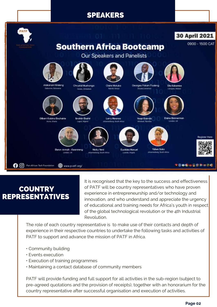### SPEAKERS



### **COUNTRY** REPRESENTATIVES

It is recognised that the key to the success and effectiveness of PATF will be country representatives who have proven experience in entrepreneurship and/or technology and innovation, and who understand and appreciate the urgency of educational and training needs for Africa's youth in respect of the global technological revolution or the 4th Industrial Revolution.

The role of each country representative is to make use of their contacts and depth of experience in their respective countries to undertake the following tasks and activities of PATF to support and advance the mission of PATF in Africa.

- Community building
- Events execution
- Execution of training programmes
- Maintaining a contact database of community members

PATF will provide funding and full support for all activities in the sub-region (subject to pre-agreed quotations and the provision of receipts), together with an honorarium for the country representative after successful organisation and execution of activities.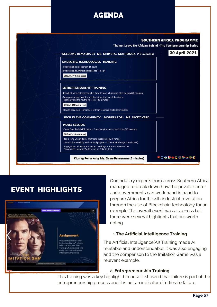### AGENDA



### EVENT HIGHLIGHTS



Our industry experts from across Southern Africa managed to break down how the private sector and governments can work hand in hand to prepare Africa for the 4th industrial revolution through the use of Blockchain technology for an example.The overall event was a success but there were several highlights that are worth noting

#### 1.**The Artificial Intelligence Training**

The Artificial Intelligence(AI) Training made AI relatable and understandable. It was also engaging and the comparison to the Imitation Game was a relevant example.

#### **2. Entrepreneurship Training**

This training was a key highlight because it showed that failure is part of the entrepreneurship process and it is not an indicator of ultimate failure.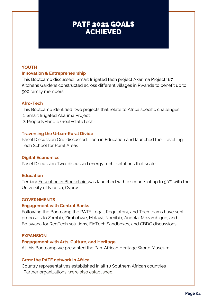### PATF 2021 GOALS ACHIEVED

#### **YOUTH Innovation & Entrepreneurship**

This Bootcamp discussed: Smart Irrigated tech project Akarima Project\* 87 Kitchens Gardens constructed across different villages in Rwanda to benefit up to 500 family members.

#### **Afro-Tech**

This Bootcamp identified two projects that relate to Africa specific challenges

- 1. Smart Irrigated Akarima Project;
- 2. PropertyHandle (RealEstateTech)

#### **Traversing the Urban-Rural Divide**

Panel Discussion One discussed; Tech in Education and launched the Travelling Tech School for Rural Areas

#### **Digital Economics**

Panel Discussion Two: discussed energy tech- solutions that scale

#### **Education**

Tertiary **Education in [Blockchain](https://www.p-atf.org/copy-of-partners)** was launched with discounts of up to 50% with the University of Nicosia, Cyprus.

#### **GOVERNMENTS**

#### **Engagement with Central Banks**

Following the Bootcamp the PATF Legal, Regulatory, and Tech teams have sent proposals to Zambia, Zimbabwe, Malawi, Namibia, Angola, Mozambique, and Botswana for RegTech solutions, FinTech Sandboxes, and CBDC discussions

#### **EXPANSION**

#### **Engagement with Arts, Culture, and Heritage**

At this Bootcamp we presented the Pan-African Heritage World Museum

#### **Grow the PATF network in Africa**

Country representatives established in all 10 Southern African countries . Partner [organizations.](https://www.p-atf.org/partners) were also established.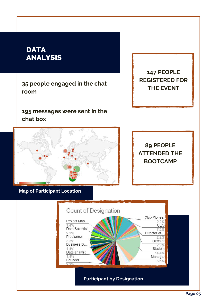### **DATA** ANALYSIS

**35 people engaged in the chat room**

**195 messages were sent in the chat box**

**THE EVENT**

**147 PEOPLE**

**REGISTERED FOR**

**89 PEOPLE ATTENDED THE BOOTCAMP**

**Map of Participant Location**

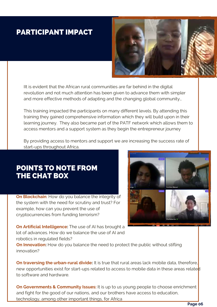### PARTICIPANT IMPACT



IIt is evident that the African rural communities are far behind in the digital revolution and not much attention has been given to advance them with simpler and more effective methods of adapting and the changing global community.,

This training impacted the participants on many different levels. By attending this training they gained comprehensive information which they will build upon in their learning journey. They also became part of the PATF network which allows them to access mentors and a support system as they begin the entrepreneur journey

By providing access to mentors and support we are increasing the success rate of start-ups throughout Africa.

### POINTS TO NOTE FROM THE CHAT BOX

**On Blockchain**: How do you balance the integrity of the system with the need for scrutiny and trust? For example, how can you prevent the use of cryptocurrencies from funding terrorism?



**On Artificial Intelligence:** The use of AI has brought a lot of advances. How do we balance the use of AI and robotics in regulated fields?

**On Innovation:** How do you balance the need to protect the public without stifling innovation?

**On traversing the urban-rural divide:** It is true that rural areas lack mobile data, therefore, new opportunities exist for start-ups related to access to mobile data in these areas related to software and hardware.

**On Governments & Community Issues:** It is up to us young people to choose enrichment and fight for the good of our nations, and our brothers have access to education, technology, among other important things, for Africa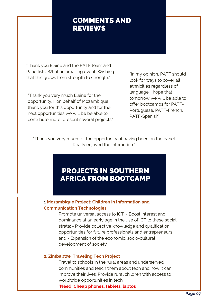### COMMENTS AND REVIEWS

"Thank you Elaine and the PATF team and Panellists. What an amazing event! Wishing that this grows from strength to strength."

"Thank you very much Elaine for the opportunity. I, on behalf of Mozambique, thank you for this opportunity and for the next opportunities we will be be able to contribute more present several projects" "In my opinion, PATF should look for ways to cover all ethnicities regardless of language. I hope that tomorrow we will be able to offer bootcamps for PATF-Portuguese, PATF-French, PATF-Spanish"

"Thank you very much for the opportunity of having been on the panel. Really enjoyed the interaction."

### PROJECTS IN SOUTHERN AFRICA FROM BOOTCAMP

#### ACTION POINTS **1 Mozambique Project: Children in Information and Communication Technologies**

Promote universal access to ICT; - Boost interest and dominance at an early age in the use of ICT to these social strata; - Provide collective knowledge and qualification opportunities for future professionals and entrepreneurs; and - Expansion of the economic, socio-cultural development of society.

#### **2. Zimbabwe: Traveling Tech Project**

Travel to schools in the rural areas and underserved communities and teach them about tech and how it can improve their lives. Provide rural children with access to worldwide opportunities in tech.

\***Need: Cheap phones, tablets, laptos**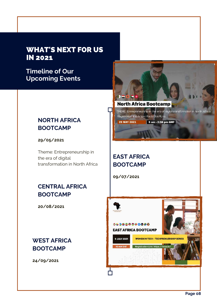### WHAT'S NEXT FOR US IN 2021

**Timeline of Our Upcoming Events**

### **NORTH AFRICA BOOTCAMP**

**29/05/2021**

Theme: Entrepreneurship in the era of digital transformation in North Africa

### **CENTRAL AFRICA BOOTCAMP**

**20/08/2021**

### **WEST AFRICA BOOTCAMP**

**24/09/2021**



**North Africa Bootcamp** 

THEME: Entrepreneurship in the era of digital transformation in North Afri Registration link: https://bit.ly/3do9Lno

29 MAY 2021

П

9 am - 2:30 pm GMT

### **EAST AFRICA BOOTCAMP**

**09/07/2021**